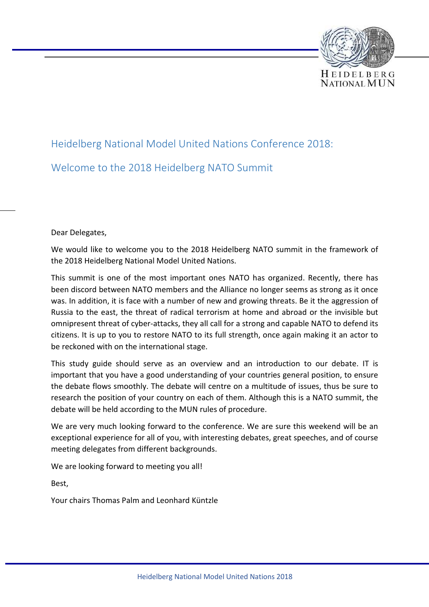

# Heidelberg National Model United Nations Conference 2018: Welcome to the 2018 Heidelberg NATO Summit

Dear Delegates,

We would like to welcome you to the 2018 Heidelberg NATO summit in the framework of the 2018 Heidelberg National Model United Nations.

This summit is one of the most important ones NATO has organized. Recently, there has been discord between NATO members and the Alliance no longer seems as strong as it once was. In addition, it is face with a number of new and growing threats. Be it the aggression of Russia to the east, the threat of radical terrorism at home and abroad or the invisible but omnipresent threat of cyber-attacks, they all call for a strong and capable NATO to defend its citizens. It is up to you to restore NATO to its full strength, once again making it an actor to be reckoned with on the international stage.

This study guide should serve as an overview and an introduction to our debate. IT is important that you have a good understanding of your countries general position, to ensure the debate flows smoothly. The debate will centre on a multitude of issues, thus be sure to research the position of your country on each of them. Although this is a NATO summit, the debate will be held according to the MUN rules of procedure.

We are very much looking forward to the conference. We are sure this weekend will be an exceptional experience for all of you, with interesting debates, great speeches, and of course meeting delegates from different backgrounds.

We are looking forward to meeting you all!

Best,

Your chairs Thomas Palm and Leonhard Küntzle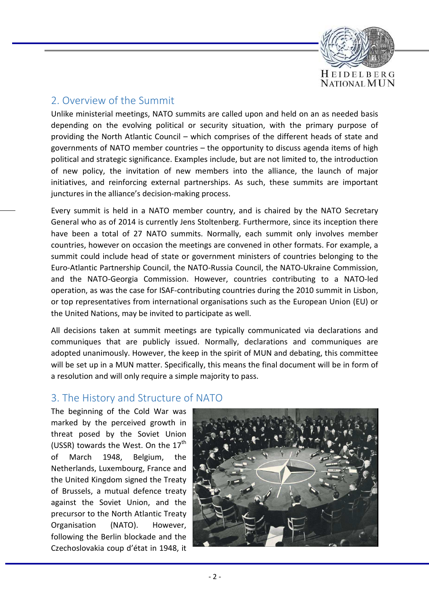

# 2. Overview of the Summit

Unlike ministerial meetings, NATO summits are called upon and held on an as needed basis depending on the evolving political or security situation, with the primary purpose of providing the North Atlantic Council – which comprises of the different heads of state and governments of NATO member countries – the opportunity to discuss agenda items of high political and strategic significance. Examples include, but are not limited to, the introduction of new policy, the invitation of new members into the alliance, the launch of major initiatives, and reinforcing external partnerships. As such, these summits are important junctures in the alliance's decision-making process.

Every summit is held in a NATO member country, and is chaired by the NATO Secretary General who as of 2014 is currently Jens Stoltenberg. Furthermore, since its inception there have been a total of 27 NATO summits. Normally, each summit only involves member countries, however on occasion the meetings are convened in other formats. For example, a summit could include head of state or government ministers of countries belonging to the Euro-Atlantic Partnership Council, the NATO-Russia Council, the NATO-Ukraine Commission, and the NATO-Georgia Commission. However, countries contributing to a NATO-led operation, as was the case for ISAF-contributing countries during the 2010 summit in Lisbon, or top representatives from international organisations such as the European Union (EU) or the United Nations, may be invited to participate as well.

All decisions taken at summit meetings are typically communicated via declarations and communiques that are publicly issued. Normally, declarations and communiques are adopted unanimously. However, the keep in the spirit of MUN and debating, this committee will be set up in a MUN matter. Specifically, this means the final document will be in form of a resolution and will only require a simple majority to pass.

# 3. The History and Structure of NATO

The beginning of the Cold War was marked by the perceived growth in threat posed by the Soviet Union (USSR) towards the West. On the  $17<sup>th</sup>$ of March 1948, Belgium, the Netherlands, Luxembourg, France and the United Kingdom signed the Treaty of Brussels, a mutual defence treaty against the Soviet Union, and the precursor to the North Atlantic Treaty Organisation (NATO). However, following the Berlin blockade and the Czechoslovakia coup d'état in 1948, it

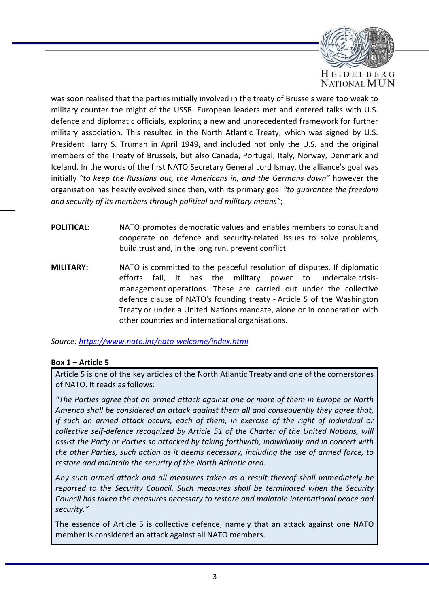

was soon realised that the parties initially involved in the treaty of Brussels were too weak to military counter the might of the USSR. European leaders met and entered talks with U.S. defence and diplomatic officials, exploring a new and unprecedented framework for further military association. This resulted in the North Atlantic Treaty, which was signed by U.S. President Harry S. Truman in April 1949, and included not only the U.S. and the original members of the Treaty of Brussels, but also Canada, Portugal, Italy, Norway, Denmark and Iceland. In the words of the first NATO Secretary General Lord Ismay, the alliance's goal was initially *"to keep the Russians out, the Americans in, and the Germans down"* however the organisation has heavily evolved since then, with its primary goal *"to guarantee the freedom and security of its members through political and military means"*;

- **POLITICAL:** NATO promotes democratic values and enables members to consult and cooperate on defence and security-related issues to solve problems, build trust and, in the long run, prevent conflict
- **MILITARY:** NATO is committed to the peaceful resolution of disputes. If diplomatic efforts fail, it has the military power to undertake crisismanagement operations. These are carried out under the collective defence clause of NATO's founding treaty - Article 5 of the Washington Treaty or under a United Nations mandate, alone or in cooperation with other countries and international organisations.

*Source: https://www.nato.int/nato-welcome/index.html*

### **Box 1 – Article 5**

Article 5 is one of the key articles of the North Atlantic Treaty and one of the cornerstones of NATO. It reads as follows:

*"The Parties agree that an armed attack against one or more of them in Europe or North America shall be considered an attack against them all and consequently they agree that, if such an armed attack occurs, each of them, in exercise of the right of individual or collective self-defence recognized by Article 51 of the Charter of the United Nations, will assist the Party or Parties so attacked by taking forthwith, individually and in concert with the other Parties, such action as it deems necessary, including the use of armed force, to restore and maintain the security of the North Atlantic area.* 

*Any such armed attack and all measures taken as a result thereof shall immediately be reported to the Security Council. Such measures shall be terminated when the Security Council has taken the measures necessary to restore and maintain international peace and security."* 

The essence of Article 5 is collective defence, namely that an attack against one NATO member is considered an attack against all NATO members.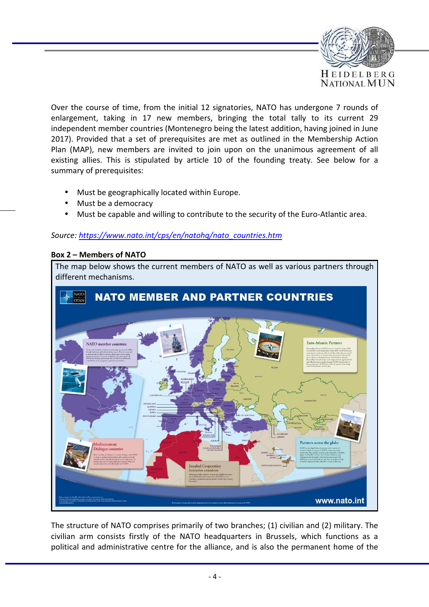

Over the course of time, from the initial 12 signatories, NATO has undergone 7 rounds of enlargement, taking in 17 new members, bringing the total tally to its current 29 independent member countries (Montenegro being the latest addition, having joined in June 2017). Provided that a set of prerequisites are met as outlined in the Membership Action Plan (MAP), new members are invited to join upon on the unanimous agreement of all existing allies. This is stipulated by article 10 of the founding treaty. See below for a summary of prerequisites:

- Must be geographically located within Europe.
- Must be a democracy
- Must be capable and willing to contribute to the security of the Euro-Atlantic area.

### *Source: https://www.nato.int/cps/en/natohq/nato\_countries.htm*

#### **Box 2 – Members of NATO**

The map below shows the current members of NATO as well as various partners through different mechanisms.



The structure of NATO comprises primarily of two branches; (1) civilian and (2) military. The civilian arm consists firstly of the NATO headquarters in Brussels, which functions as a political and administrative centre for the alliance, and is also the permanent home of the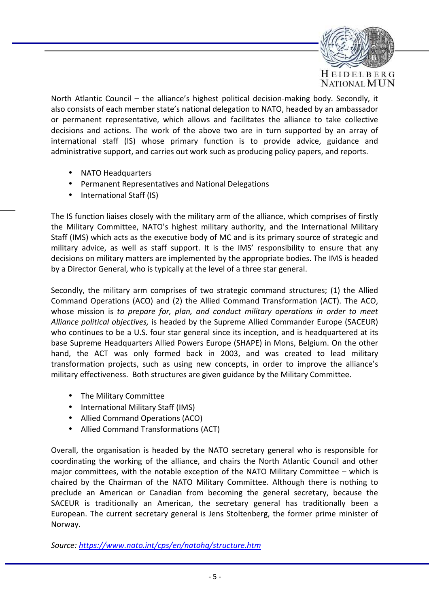

North Atlantic Council – the alliance's highest political decision-making body. Secondly, it also consists of each member state's national delegation to NATO, headed by an ambassador or permanent representative, which allows and facilitates the alliance to take collective decisions and actions. The work of the above two are in turn supported by an array of international staff (IS) whose primary function is to provide advice, guidance and administrative support, and carries out work such as producing policy papers, and reports.

- NATO Headquarters
- Permanent Representatives and National Delegations
- International Staff (IS)

The IS function liaises closely with the military arm of the alliance, which comprises of firstly the Military Committee, NATO's highest military authority, and the International Military Staff (IMS) which acts as the executive body of MC and is its primary source of strategic and military advice, as well as staff support. It is the IMS' responsibility to ensure that any decisions on military matters are implemented by the appropriate bodies. The IMS is headed by a Director General, who is typically at the level of a three star general.

Secondly, the military arm comprises of two strategic command structures; (1) the Allied Command Operations (ACO) and (2) the Allied Command Transformation (ACT). The ACO, whose mission is *to prepare for, plan, and conduct military operations in order to meet Alliance political objectives,* is headed by the Supreme Allied Commander Europe (SACEUR) who continues to be a U.S. four star general since its inception, and is headquartered at its base Supreme Headquarters Allied Powers Europe (SHAPE) in Mons, Belgium. On the other hand, the ACT was only formed back in 2003, and was created to lead military transformation projects, such as using new concepts, in order to improve the alliance's military effectiveness. Both structures are given guidance by the Military Committee.

- The Military Committee
- International Military Staff (IMS)
- Allied Command Operations (ACO)
- Allied Command Transformations (ACT)

Overall, the organisation is headed by the NATO secretary general who is responsible for coordinating the working of the alliance, and chairs the North Atlantic Council and other major committees, with the notable exception of the NATO Military Committee – which is chaired by the Chairman of the NATO Military Committee. Although there is nothing to preclude an American or Canadian from becoming the general secretary, because the SACEUR is traditionally an American, the secretary general has traditionally been a European. The current secretary general is Jens Stoltenberg, the former prime minister of Norway.

*Source: https://www.nato.int/cps/en/natohq/structure.htm*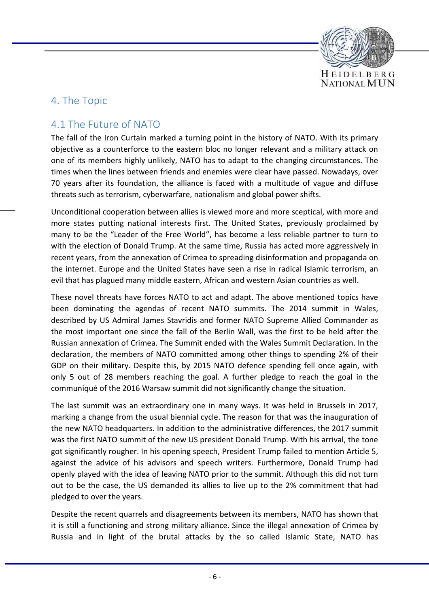

# 4. The Topic

# 4.1 The Future of NATO

The fall of the Iron Curtain marked a turning point in the history of NATO. With its primary objective as a counterforce to the eastern bloc no longer relevant and a military attack on one of its members highly unlikely, NATO has to adapt to the changing circumstances. The times when the lines between friends and enemies were clear have passed. Nowadays, over 70 years after its foundation, the alliance is faced with a multitude of vague and diffuse threats such as terrorism, cyberwarfare, nationalism and global power shifts.

Unconditional cooperation between allies is viewed more and more sceptical, with more and more states putting national interests first. The United States, previously proclaimed by many to be the "Leader of the Free World", has become a less reliable partner to turn to with the election of Donald Trump. At the same time, Russia has acted more aggressively in recent years, from the annexation of Crimea to spreading disinformation and propaganda on the internet. Europe and the United States have seen a rise in radical Islamic terrorism, an evil that has plagued many middle eastern, African and western Asian countries as well.

These novel threats have forces NATO to act and adapt. The above mentioned topics have been dominating the agendas of recent NATO summits. The 2014 summit in Wales, described by US Admiral James Stavridis and former NATO Supreme Allied Commander as the most important one since the fall of the Berlin Wall, was the first to be held after the Russian annexation of Crimea. The Summit ended with the Wales Summit Declaration. In the declaration, the members of NATO committed among other things to spending 2% of their GDP on their military. Despite this, by 2015 NATO defence spending fell once again, with only 5 out of 28 members reaching the goal. A further pledge to reach the goal in the communiqué of the 2016 Warsaw summit did not significantly change the situation.

The last summit was an extraordinary one in many ways. It was held in Brussels in 2017, marking a change from the usual biennial cycle. The reason for that was the inauguration of the new NATO headquarters. In addition to the administrative differences, the 2017 summit was the first NATO summit of the new US president Donald Trump. With his arrival, the tone got significantly rougher. In his opening speech, President Trump failed to mention Article 5, against the advice of his advisors and speech writers. Furthermore, Donald Trump had openly played with the idea of leaving NATO prior to the summit. Although this did not turn out to be the case, the US demanded its allies to live up to the 2% commitment that had pledged to over the years.

Despite the recent quarrels and disagreements between its members, NATO has shown that it is still a functioning and strong military alliance. Since the illegal annexation of Crimea by Russia and in light of the brutal attacks by the so called Islamic State, NATO has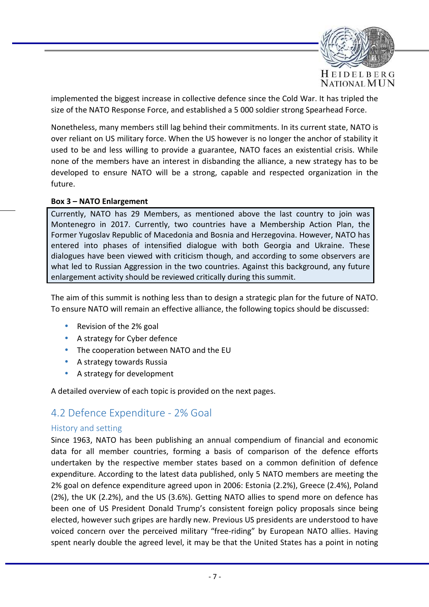

implemented the biggest increase in collective defence since the Cold War. It has tripled the size of the NATO Response Force, and established a 5 000 soldier strong Spearhead Force.

Nonetheless, many members still lag behind their commitments. In its current state, NATO is over reliant on US military force. When the US however is no longer the anchor of stability it used to be and less willing to provide a guarantee, NATO faces an existential crisis. While none of the members have an interest in disbanding the alliance, a new strategy has to be developed to ensure NATO will be a strong, capable and respected organization in the future.

#### **Box 3 – NATO Enlargement**

Currently, NATO has 29 Members, as mentioned above the last country to join was Montenegro in 2017. Currently, two countries have a Membership Action Plan, the Former Yugoslav Republic of Macedonia and Bosnia and Herzegovina. However, NATO has entered into phases of intensified dialogue with both Georgia and Ukraine. These dialogues have been viewed with criticism though, and according to some observers are what led to Russian Aggression in the two countries. Against this background, any future enlargement activity should be reviewed critically during this summit.

The aim of this summit is nothing less than to design a strategic plan for the future of NATO. To ensure NATO will remain an effective alliance, the following topics should be discussed:

- Revision of the 2% goal
- A strategy for Cyber defence
- The cooperation between NATO and the EU
- A strategy towards Russia
- A strategy for development

A detailed overview of each topic is provided on the next pages.

# 4.2 Defence Expenditure - 2% Goal

### History and setting

Since 1963, NATO has been publishing an annual compendium of financial and economic data for all member countries, forming a basis of comparison of the defence efforts undertaken by the respective member states based on a common definition of defence expenditure. According to the latest data published, only 5 NATO members are meeting the 2% goal on defence expenditure agreed upon in 2006: Estonia (2.2%), Greece (2.4%), Poland (2%), the UK (2.2%), and the US (3.6%). Getting NATO allies to spend more on defence has been one of US President Donald Trump's consistent foreign policy proposals since being elected, however such gripes are hardly new. Previous US presidents are understood to have voiced concern over the perceived military "free-riding" by European NATO allies. Having spent nearly double the agreed level, it may be that the United States has a point in noting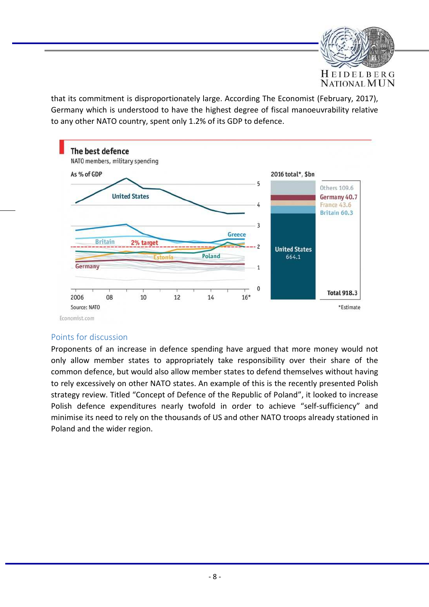

that its commitment is disproportionately large. According The Economist (February, 2017), Germany which is understood to have the highest degree of fiscal manoeuvrability relative to any other NATO country, spent only 1.2% of its GDP to defence.



## Points for discussion

Proponents of an increase in defence spending have argued that more money would not only allow member states to appropriately take responsibility over their share of the common defence, but would also allow member states to defend themselves without having to rely excessively on other NATO states. An example of this is the recently presented Polish strategy review. Titled "Concept of Defence of the Republic of Poland", it looked to increase Polish defence expenditures nearly twofold in order to achieve "self-sufficiency" and minimise its need to rely on the thousands of US and other NATO troops already stationed in Poland and the wider region.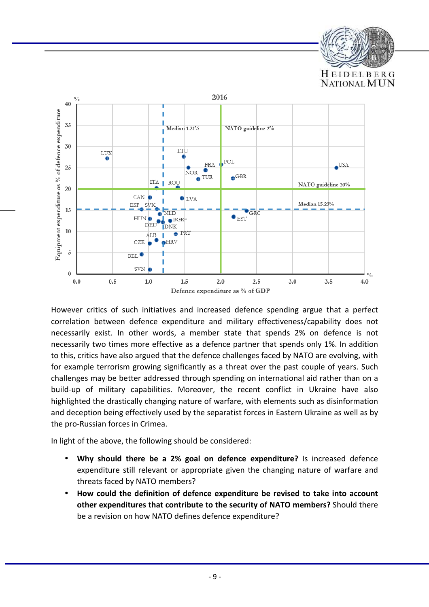



However critics of such initiatives and increased defence spending argue that a perfect correlation between defence expenditure and military effectiveness/capability does not necessarily exist. In other words, a member state that spends 2% on defence is not necessarily two times more effective as a defence partner that spends only 1%. In addition to this, critics have also argued that the defence challenges faced by NATO are evolving, with for example terrorism growing significantly as a threat over the past couple of years. Such challenges may be better addressed through spending on international aid rather than on a build-up of military capabilities. Moreover, the recent conflict in Ukraine have also highlighted the drastically changing nature of warfare, with elements such as disinformation and deception being effectively used by the separatist forces in Eastern Ukraine as well as by the pro-Russian forces in Crimea.

In light of the above, the following should be considered:

- **Why should there be a 2% goal on defence expenditure?** Is increased defence expenditure still relevant or appropriate given the changing nature of warfare and threats faced by NATO members?
- **How could the definition of defence expenditure be revised to take into account other expenditures that contribute to the security of NATO members?** Should there be a revision on how NATO defines defence expenditure?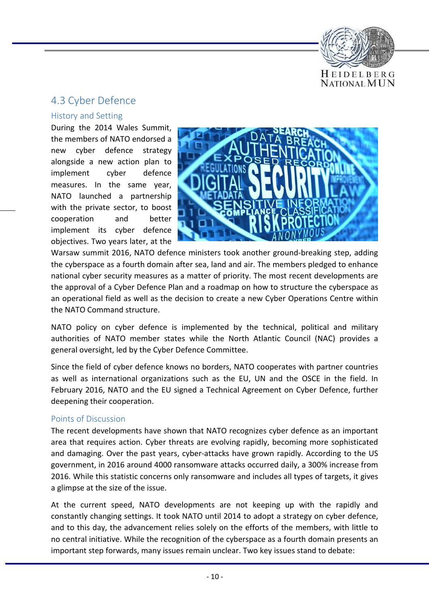

# 4.3 Cyber Defence

## History and Setting

During the 2014 Wales Summit, the members of NATO endorsed a new cyber defence strategy alongside a new action plan to implement cyber defence measures. In the same year, NATO launched a partnership with the private sector, to boost cooperation and better implement its cyber defence objectives. Two years later, at the



Warsaw summit 2016, NATO defence ministers took another ground-breaking step, adding the cyberspace as a fourth domain after sea, land and air. The members pledged to enhance national cyber security measures as a matter of priority. The most recent developments are the approval of a Cyber Defence Plan and a roadmap on how to structure the cyberspace as an operational field as well as the decision to create a new Cyber Operations Centre within the NATO Command structure.

NATO policy on cyber defence is implemented by the technical, political and military authorities of NATO member states while the North Atlantic Council (NAC) provides a general oversight, led by the Cyber Defence Committee.

Since the field of cyber defence knows no borders, NATO cooperates with partner countries as well as international organizations such as the EU, UN and the OSCE in the field. In February 2016, NATO and the EU signed a Technical Agreement on Cyber Defence, further deepening their cooperation.

## Points of Discussion

The recent developments have shown that NATO recognizes cyber defence as an important area that requires action. Cyber threats are evolving rapidly, becoming more sophisticated and damaging. Over the past years, cyber-attacks have grown rapidly. According to the US government, in 2016 around 4000 ransomware attacks occurred daily, a 300% increase from 2016. While this statistic concerns only ransomware and includes all types of targets, it gives a glimpse at the size of the issue.

At the current speed, NATO developments are not keeping up with the rapidly and constantly changing settings. It took NATO until 2014 to adopt a strategy on cyber defence, and to this day, the advancement relies solely on the efforts of the members, with little to no central initiative. While the recognition of the cyberspace as a fourth domain presents an important step forwards, many issues remain unclear. Two key issues stand to debate: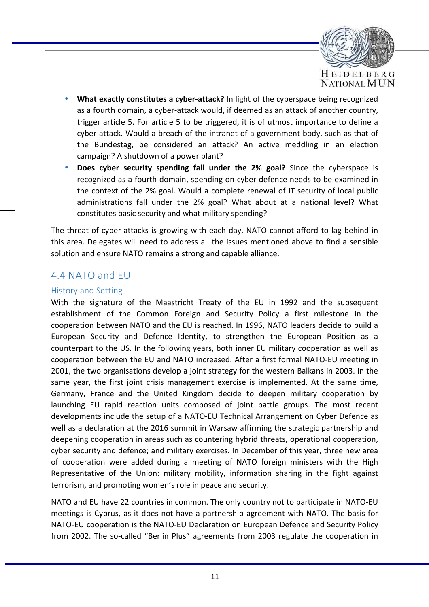

- **What exactly constitutes a cyber-attack?** In light of the cyberspace being recognized as a fourth domain, a cyber-attack would, if deemed as an attack of another country, trigger article 5. For article 5 to be triggered, it is of utmost importance to define a cyber-attack. Would a breach of the intranet of a government body, such as that of the Bundestag, be considered an attack? An active meddling in an election campaign? A shutdown of a power plant?
- **Does cyber security spending fall under the 2% goal?** Since the cyberspace is recognized as a fourth domain, spending on cyber defence needs to be examined in the context of the 2% goal. Would a complete renewal of IT security of local public administrations fall under the 2% goal? What about at a national level? What constitutes basic security and what military spending?

The threat of cyber-attacks is growing with each day, NATO cannot afford to lag behind in this area. Delegates will need to address all the issues mentioned above to find a sensible solution and ensure NATO remains a strong and capable alliance.

# 4.4 NATO and EU

## History and Setting

With the signature of the Maastricht Treaty of the EU in 1992 and the subsequent establishment of the Common Foreign and Security Policy a first milestone in the cooperation between NATO and the EU is reached. In 1996, NATO leaders decide to build a European Security and Defence Identity, to strengthen the European Position as a counterpart to the US. In the following years, both inner EU military cooperation as well as cooperation between the EU and NATO increased. After a first formal NATO-EU meeting in 2001, the two organisations develop a joint strategy for the western Balkans in 2003. In the same year, the first joint crisis management exercise is implemented. At the same time, Germany, France and the United Kingdom decide to deepen military cooperation by launching EU rapid reaction units composed of joint battle groups. The most recent developments include the setup of a NATO-EU Technical Arrangement on Cyber Defence as well as a declaration at the 2016 summit in Warsaw affirming the strategic partnership and deepening cooperation in areas such as countering hybrid threats, operational cooperation, cyber security and defence; and military exercises. In December of this year, three new area of cooperation were added during a meeting of NATO foreign ministers with the High Representative of the Union: military mobility, information sharing in the fight against terrorism, and promoting women's role in peace and security.

NATO and EU have 22 countries in common. The only country not to participate in NATO-EU meetings is Cyprus, as it does not have a partnership agreement with NATO. The basis for NATO-EU cooperation is the NATO-EU Declaration on European Defence and Security Policy from 2002. The so-called "Berlin Plus" agreements from 2003 regulate the cooperation in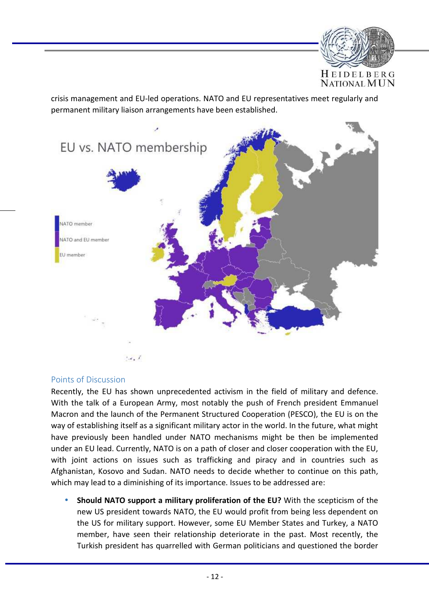

crisis management and EU-led operations. NATO and EU representatives meet regularly and permanent military liaison arrangements have been established.



### Points of Discussion

Recently, the EU has shown unprecedented activism in the field of military and defence. With the talk of a European Army, most notably the push of French president Emmanuel Macron and the launch of the Permanent Structured Cooperation (PESCO), the EU is on the way of establishing itself as a significant military actor in the world. In the future, what might have previously been handled under NATO mechanisms might be then be implemented under an EU lead. Currently, NATO is on a path of closer and closer cooperation with the EU, with joint actions on issues such as trafficking and piracy and in countries such as Afghanistan, Kosovo and Sudan. NATO needs to decide whether to continue on this path, which may lead to a diminishing of its importance. Issues to be addressed are:

• **Should NATO support a military proliferation of the EU?** With the scepticism of the new US president towards NATO, the EU would profit from being less dependent on the US for military support. However, some EU Member States and Turkey, a NATO member, have seen their relationship deteriorate in the past. Most recently, the Turkish president has quarrelled with German politicians and questioned the border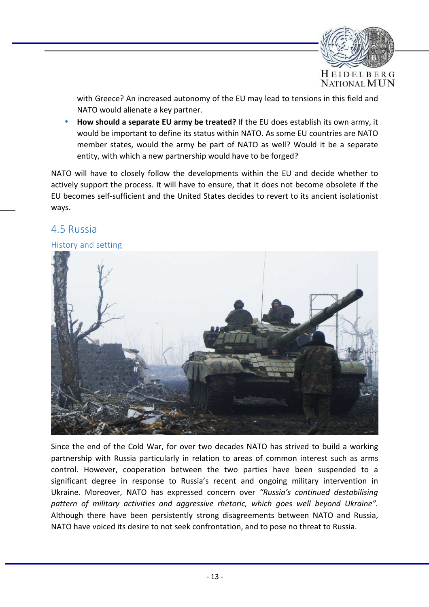

with Greece? An increased autonomy of the EU may lead to tensions in this field and NATO would alienate a key partner.

• **How should a separate EU army be treated?** If the EU does establish its own army, it would be important to define its status within NATO. As some EU countries are NATO member states, would the army be part of NATO as well? Would it be a separate entity, with which a new partnership would have to be forged?

NATO will have to closely follow the developments within the EU and decide whether to actively support the process. It will have to ensure, that it does not become obsolete if the EU becomes self-sufficient and the United States decides to revert to its ancient isolationist ways.

## 4.5 Russia

## History and setting



Since the end of the Cold War, for over two decades NATO has strived to build a working partnership with Russia particularly in relation to areas of common interest such as arms control. However, cooperation between the two parties have been suspended to a significant degree in response to Russia's recent and ongoing military intervention in Ukraine. Moreover, NATO has expressed concern over *"Russia's continued destabilising pattern of military activities and aggressive rhetoric, which goes well beyond Ukraine".* Although there have been persistently strong disagreements between NATO and Russia, NATO have voiced its desire to not seek confrontation, and to pose no threat to Russia.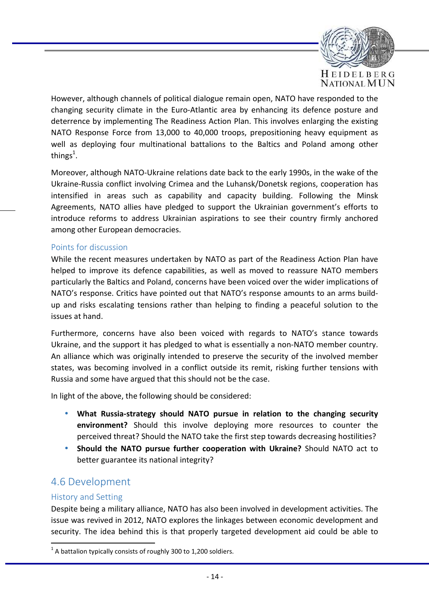

However, although channels of political dialogue remain open, NATO have responded to the changing security climate in the Euro-Atlantic area by enhancing its defence posture and deterrence by implementing The Readiness Action Plan. This involves enlarging the existing NATO Response Force from 13,000 to 40,000 troops, prepositioning heavy equipment as well as deploying four multinational battalions to the Baltics and Poland among other things $^1$ .

Moreover, although NATO-Ukraine relations date back to the early 1990s, in the wake of the Ukraine-Russia conflict involving Crimea and the Luhansk/Donetsk regions, cooperation has intensified in areas such as capability and capacity building. Following the Minsk Agreements, NATO allies have pledged to support the Ukrainian government's efforts to introduce reforms to address Ukrainian aspirations to see their country firmly anchored among other European democracies.

## Points for discussion

While the recent measures undertaken by NATO as part of the Readiness Action Plan have helped to improve its defence capabilities, as well as moved to reassure NATO members particularly the Baltics and Poland, concerns have been voiced over the wider implications of NATO's response. Critics have pointed out that NATO's response amounts to an arms buildup and risks escalating tensions rather than helping to finding a peaceful solution to the issues at hand.

Furthermore, concerns have also been voiced with regards to NATO's stance towards Ukraine, and the support it has pledged to what is essentially a non-NATO member country. An alliance which was originally intended to preserve the security of the involved member states, was becoming involved in a conflict outside its remit, risking further tensions with Russia and some have argued that this should not be the case.

In light of the above, the following should be considered:

- **What Russia-strategy should NATO pursue in relation to the changing security environment?** Should this involve deploying more resources to counter the perceived threat? Should the NATO take the first step towards decreasing hostilities?
- **Should the NATO pursue further cooperation with Ukraine?** Should NATO act to better guarantee its national integrity?

# 4.6 Development

### History and Setting

Despite being a military alliance, NATO has also been involved in development activities. The issue was revived in 2012, NATO explores the linkages between economic development and security. The idea behind this is that properly targeted development aid could be able to

 $1$  A battalion typically consists of roughly 300 to 1,200 soldiers.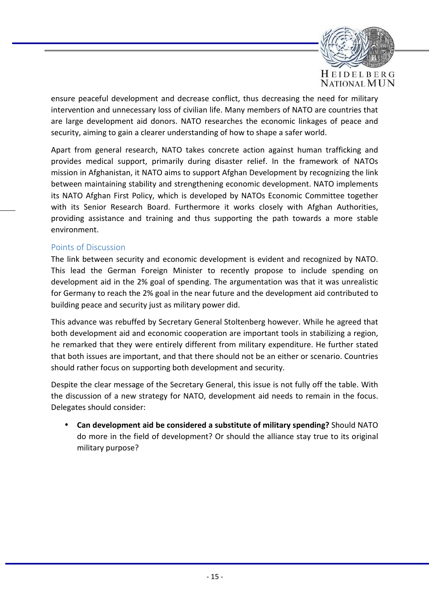

ensure peaceful development and decrease conflict, thus decreasing the need for military intervention and unnecessary loss of civilian life. Many members of NATO are countries that are large development aid donors. NATO researches the economic linkages of peace and security, aiming to gain a clearer understanding of how to shape a safer world.

Apart from general research, NATO takes concrete action against human trafficking and provides medical support, primarily during disaster relief. In the framework of NATOs mission in Afghanistan, it NATO aims to support Afghan Development by recognizing the link between maintaining stability and strengthening economic development. NATO implements its NATO Afghan First Policy, which is developed by NATOs Economic Committee together with its Senior Research Board. Furthermore it works closely with Afghan Authorities, providing assistance and training and thus supporting the path towards a more stable environment.

## Points of Discussion

The link between security and economic development is evident and recognized by NATO. This lead the German Foreign Minister to recently propose to include spending on development aid in the 2% goal of spending. The argumentation was that it was unrealistic for Germany to reach the 2% goal in the near future and the development aid contributed to building peace and security just as military power did.

This advance was rebuffed by Secretary General Stoltenberg however. While he agreed that both development aid and economic cooperation are important tools in stabilizing a region, he remarked that they were entirely different from military expenditure. He further stated that both issues are important, and that there should not be an either or scenario. Countries should rather focus on supporting both development and security.

Despite the clear message of the Secretary General, this issue is not fully off the table. With the discussion of a new strategy for NATO, development aid needs to remain in the focus. Delegates should consider:

• **Can development aid be considered a substitute of military spending?** Should NATO do more in the field of development? Or should the alliance stay true to its original military purpose?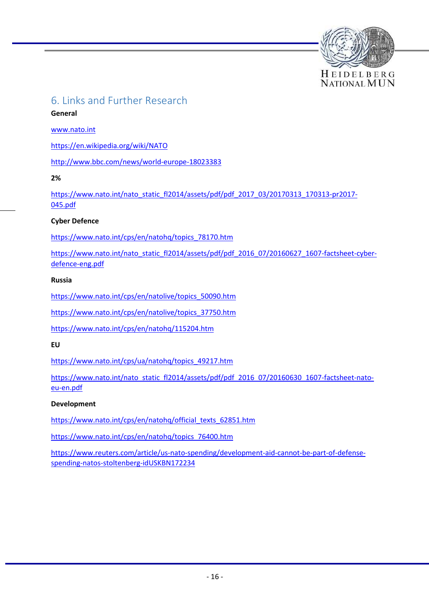

# 6. Links and Further Research

#### **General**

www.nato.int

https://en.wikipedia.org/wiki/NATO

http://www.bbc.com/news/world-europe-18023383

**2%** 

https://www.nato.int/nato\_static\_fl2014/assets/pdf/pdf\_2017\_03/20170313\_170313-pr2017-045.pdf

#### **Cyber Defence**

https://www.nato.int/cps/en/natohq/topics\_78170.htm

https://www.nato.int/nato\_static\_fl2014/assets/pdf/pdf\_2016\_07/20160627\_1607-factsheet-cyberdefence-eng.pdf

#### **Russia**

https://www.nato.int/cps/en/natolive/topics\_50090.htm

https://www.nato.int/cps/en/natolive/topics\_37750.htm

https://www.nato.int/cps/en/natohq/115204.htm

#### **EU**

https://www.nato.int/cps/ua/natohq/topics\_49217.htm

https://www.nato.int/nato\_static\_fl2014/assets/pdf/pdf\_2016\_07/20160630\_1607-factsheet-natoeu-en.pdf

#### **Development**

https://www.nato.int/cps/en/natohq/official\_texts\_62851.htm

https://www.nato.int/cps/en/natohq/topics\_76400.htm

https://www.reuters.com/article/us-nato-spending/development-aid-cannot-be-part-of-defensespending-natos-stoltenberg-idUSKBN172234